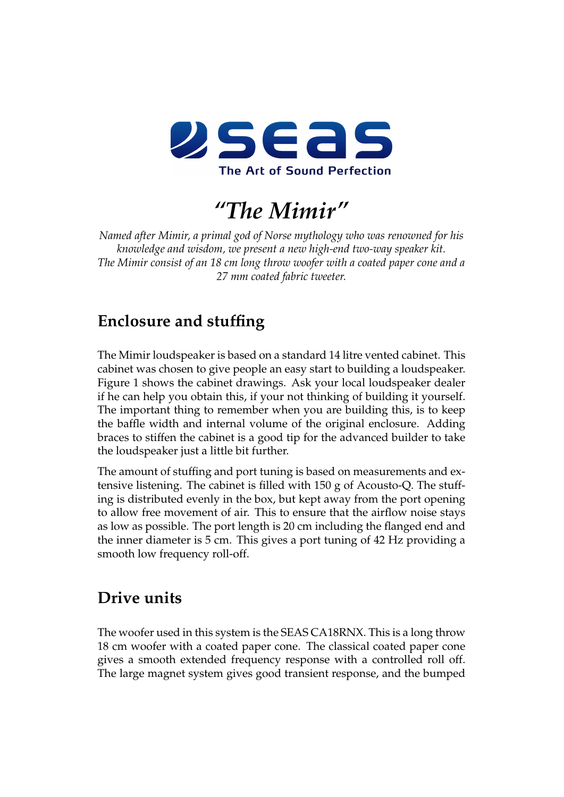

*"The Mimir"*

*Named after Mimir, a primal god of Norse mythology who was renowned for his knowledge and wisdom, we present a new high-end two-way speaker kit. The Mimir consist of an 18 cm long throw woofer with a coated paper cone and a 27 mm coated fabric tweeter.*

## **Enclosure and stuffing**

The Mimir loudspeaker is based on a standard 14 litre vented cabinet. This cabinet was chosen to give people an easy start to building a loudspeaker. Figure [1](#page-1-0) shows the cabinet drawings. Ask your local loudspeaker dealer if he can help you obtain this, if your not thinking of building it yourself. The important thing to remember when you are building this, is to keep the baffle width and internal volume of the original enclosure. Adding braces to stiffen the cabinet is a good tip for the advanced builder to take the loudspeaker just a little bit further.

The amount of stuffing and port tuning is based on measurements and extensive listening. The cabinet is filled with 150 g of Acousto-Q. The stuffing is distributed evenly in the box, but kept away from the port opening to allow free movement of air. This to ensure that the airflow noise stays as low as possible. The port length is 20 cm including the flanged end and the inner diameter is 5 cm. This gives a port tuning of 42 Hz providing a smooth low frequency roll-off.

## **Drive units**

The woofer used in this system is the SEAS CA18RNX. This is a long throw 18 cm woofer with a coated paper cone. The classical coated paper cone gives a smooth extended frequency response with a controlled roll off. The large magnet system gives good transient response, and the bumped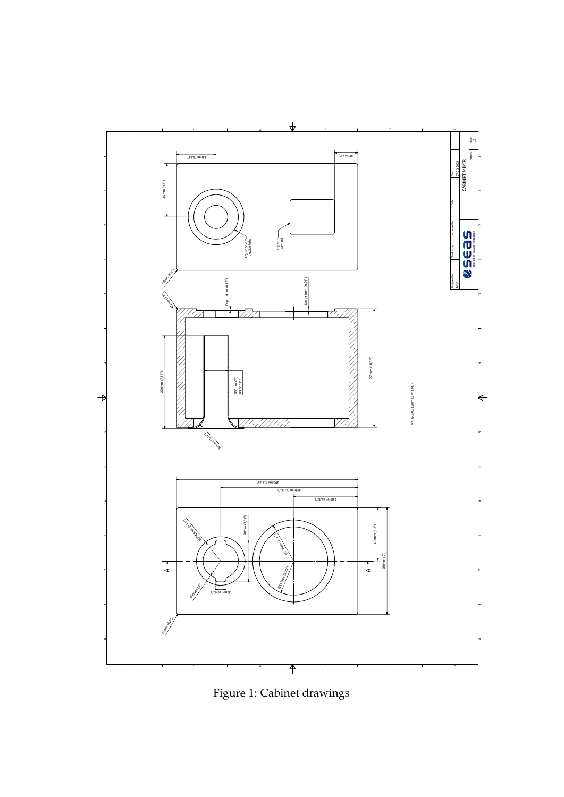

<span id="page-1-0"></span>Figure 1: Cabinet drawings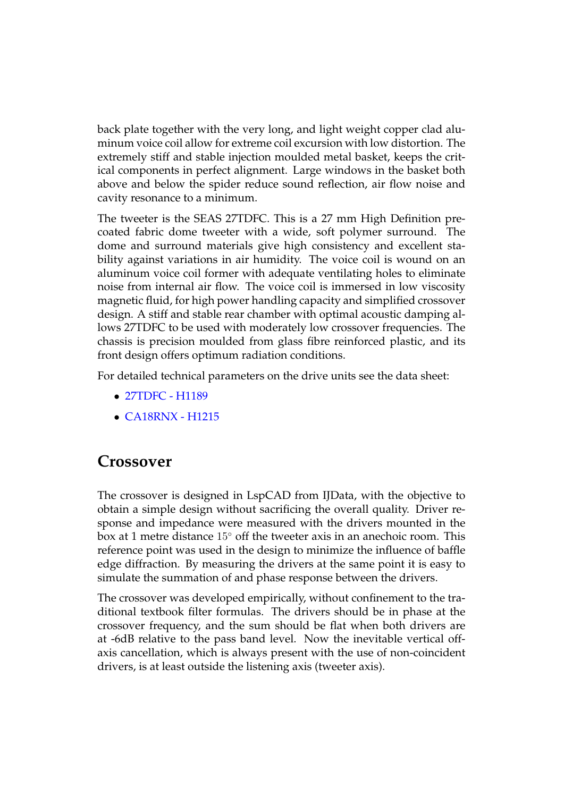back plate together with the very long, and light weight copper clad aluminum voice coil allow for extreme coil excursion with low distortion. The extremely stiff and stable injection moulded metal basket, keeps the critical components in perfect alignment. Large windows in the basket both above and below the spider reduce sound reflection, air flow noise and cavity resonance to a minimum.

The tweeter is the SEAS 27TDFC. This is a 27 mm High Definition precoated fabric dome tweeter with a wide, soft polymer surround. The dome and surround materials give high consistency and excellent stability against variations in air humidity. The voice coil is wound on an aluminum voice coil former with adequate ventilating holes to eliminate noise from internal air flow. The voice coil is immersed in low viscosity magnetic fluid, for high power handling capacity and simplified crossover design. A stiff and stable rear chamber with optimal acoustic damping allows 27TDFC to be used with moderately low crossover frequencies. The chassis is precision moulded from glass fibre reinforced plastic, and its front design offers optimum radiation conditions.

For detailed technical parameters on the drive units see the data sheet:

- [27TDFC H1189](http://www.seas.no/index.php?option=com_content&task=view&id=87&Itemid=111)
- [CA18RNX H1215](http://www.seas.no/index.php?option=com_content&task=view&id=109&Itemid=131)

## **Crossover**

The crossover is designed in LspCAD from IJData, with the objective to obtain a simple design without sacrificing the overall quality. Driver response and impedance were measured with the drivers mounted in the box at 1 metre distance 15◦ off the tweeter axis in an anechoic room. This reference point was used in the design to minimize the influence of baffle edge diffraction. By measuring the drivers at the same point it is easy to simulate the summation of and phase response between the drivers.

The crossover was developed empirically, without confinement to the traditional textbook filter formulas. The drivers should be in phase at the crossover frequency, and the sum should be flat when both drivers are at -6dB relative to the pass band level. Now the inevitable vertical offaxis cancellation, which is always present with the use of non-coincident drivers, is at least outside the listening axis (tweeter axis).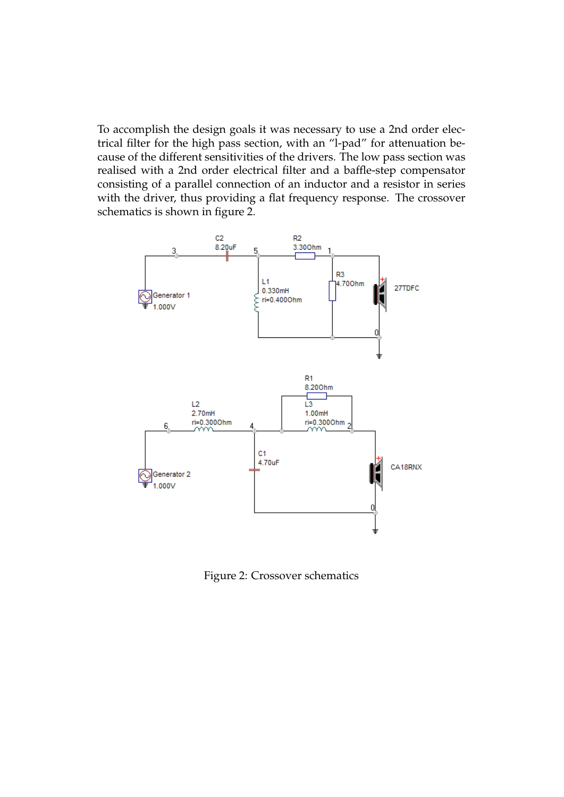To accomplish the design goals it was necessary to use a 2nd order electrical filter for the high pass section, with an "l-pad" for attenuation because of the different sensitivities of the drivers. The low pass section was realised with a 2nd order electrical filter and a baffle-step compensator consisting of a parallel connection of an inductor and a resistor in series with the driver, thus providing a flat frequency response. The crossover schematics is shown in figure [2.](#page-3-0)



<span id="page-3-0"></span>Figure 2: Crossover schematics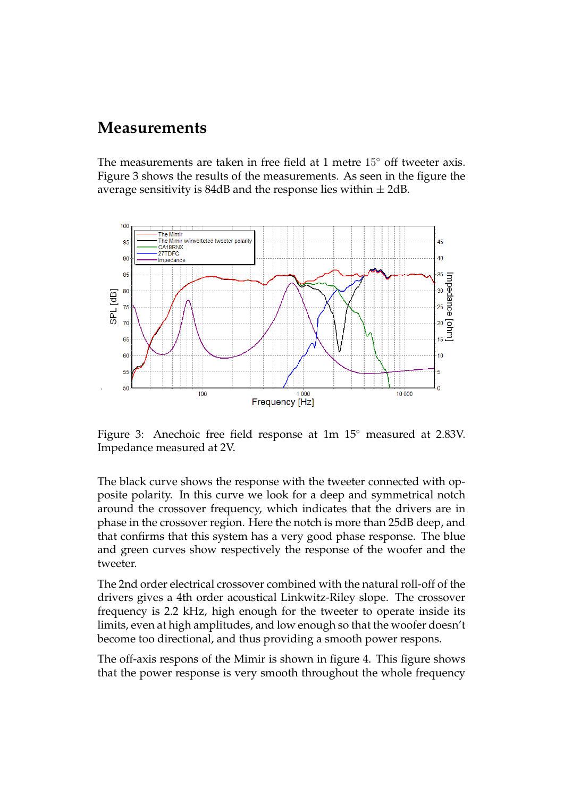## **Measurements**

The measurements are taken in free field at 1 metre 15◦ off tweeter axis. Figure [3](#page-4-0) shows the results of the measurements. As seen in the figure the average sensitivity is 84dB and the response lies within  $\pm$  2dB.



<span id="page-4-0"></span>Figure 3: Anechoic free field response at 1m 15◦ measured at 2.83V. Impedance measured at 2V.

The black curve shows the response with the tweeter connected with opposite polarity. In this curve we look for a deep and symmetrical notch around the crossover frequency, which indicates that the drivers are in phase in the crossover region. Here the notch is more than 25dB deep, and that confirms that this system has a very good phase response. The blue and green curves show respectively the response of the woofer and the tweeter.

The 2nd order electrical crossover combined with the natural roll-off of the drivers gives a 4th order acoustical Linkwitz-Riley slope. The crossover frequency is 2.2 kHz, high enough for the tweeter to operate inside its limits, even at high amplitudes, and low enough so that the woofer doesn't become too directional, and thus providing a smooth power respons.

The off-axis respons of the Mimir is shown in figure [4.](#page-5-0) This figure shows that the power response is very smooth throughout the whole frequency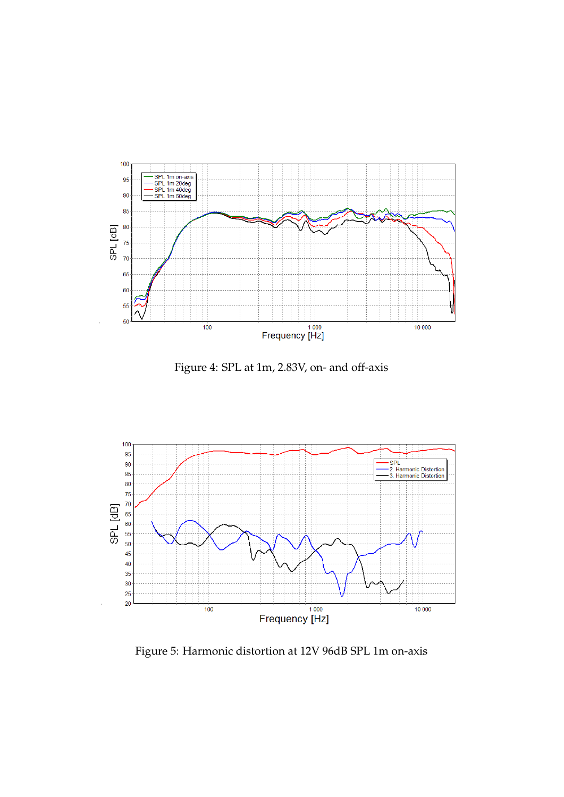

<span id="page-5-0"></span>Figure 4: SPL at 1m, 2.83V, on- and off-axis



<span id="page-5-1"></span>Figure 5: Harmonic distortion at 12V 96dB SPL 1m on-axis